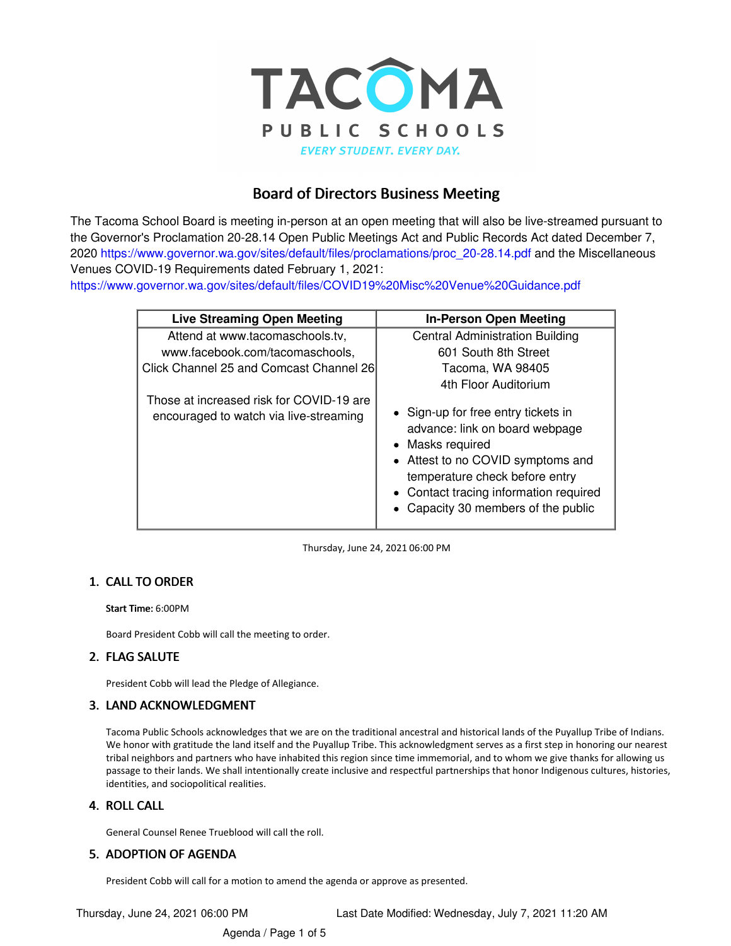

# Board of Directors Business Meeting

The Tacoma School Board is meeting in-person at an open meeting that will also be live-streamed pursuant to the Governor's Proclamation 20-28.14 Open Public Meetings Act and Public Records Act dated December 7, 2020 [https://www.governor.wa.gov/sites/default/files/proclamations/proc\\_20-28.14.pdf](https://www.governor.wa.gov/sites/default/files/proclamations/proc_20-28.14.pdf) and the Miscellaneous Venues COVID-19 Requirements dated February 1, 2021:

[https://www.governor.wa.gov/sites/default/files/COVID19%20Misc%20Venue%20Guidance.pdf](https://www.governor.wa.gov/sites/default/files/COVID19 Misc Venue Guidance.pdf)

| <b>Live Streaming Open Meeting</b>                                                 | <b>In-Person Open Meeting</b>                                                                                                                                                                                                                   |
|------------------------------------------------------------------------------------|-------------------------------------------------------------------------------------------------------------------------------------------------------------------------------------------------------------------------------------------------|
| Attend at www.tacomaschools.tv,                                                    | <b>Central Administration Building</b>                                                                                                                                                                                                          |
| www.facebook.com/tacomaschools.                                                    | 601 South 8th Street                                                                                                                                                                                                                            |
| Click Channel 25 and Comcast Channel 26                                            | Tacoma, WA 98405                                                                                                                                                                                                                                |
|                                                                                    | 4th Floor Auditorium                                                                                                                                                                                                                            |
| Those at increased risk for COVID-19 are<br>encouraged to watch via live-streaming | • Sign-up for free entry tickets in<br>advance: link on board webpage<br>• Masks required<br>• Attest to no COVID symptoms and<br>temperature check before entry<br>• Contact tracing information required<br>Capacity 30 members of the public |

Thursday, June 24, 2021 06:00 PM

# 1. CALL TO ORDER

Start Time: 6:00PM

Board President Cobb will call the meeting to order.

# FLAG SALUTE 2.

President Cobb will lead the Pledge of Allegiance.

# 3. LAND ACKNOWLEDGMENT

Tacoma Public Schools acknowledges that we are on the traditional ancestral and historical lands of the Puyallup Tribe of Indians. We honor with gratitude the land itself and the Puyallup Tribe. This acknowledgment serves as a first step in honoring our nearest tribal neighbors and partners who have inhabited this region since time immemorial, and to whom we give thanks for allowing us passage to their lands. We shall intentionally create inclusive and respectful partnerships that honor Indigenous cultures, histories, identities, and sociopolitical realities.

# 4. ROLL CALL

General Counsel Renee Trueblood will call the roll.

# 5. ADOPTION OF AGENDA

President Cobb will call for a motion to amend the agenda or approve as presented.

Agenda / Page 1 of 5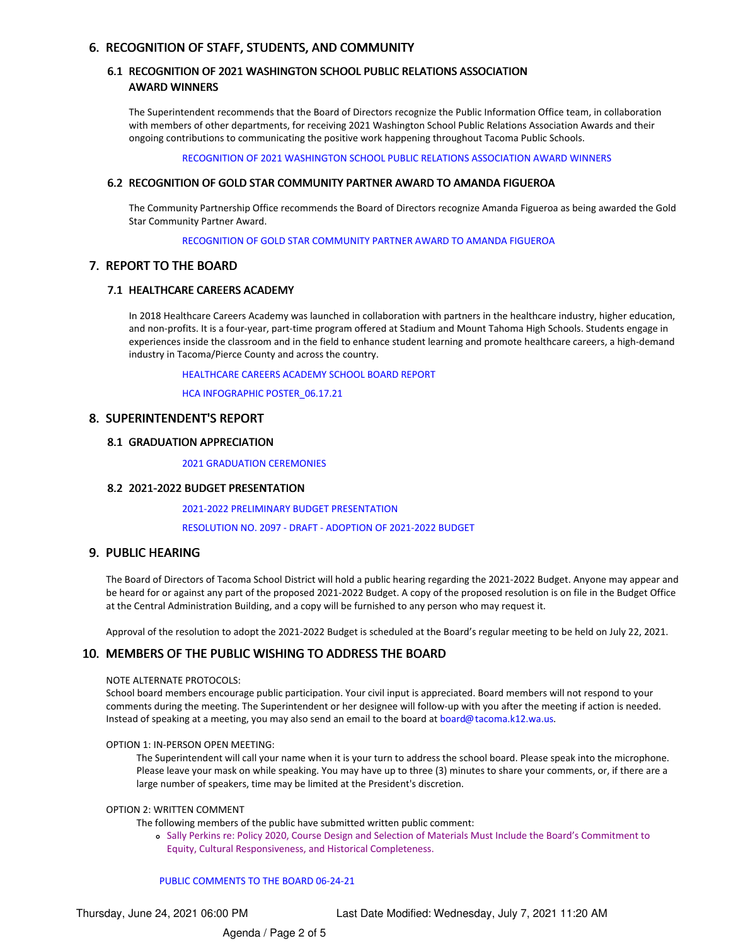## 6. RECOGNITION OF STAFF, STUDENTS, AND COMMUNITY

## 6.1 RECOGNITION OF 2021 WASHINGTON SCHOOL PUBLIC RELATIONS ASSOCIATION AWARD WINNERS

The Superintendent recommends that the Board of Directors recognize the Public Information Office team, in collaboration with members of other departments, for receiving 2021 Washington School Public Relations Association Awards and their ongoing contributions to communicating the positive work happening throughout Tacoma Public Schools.

RECOGNITION OF 2021 [WASHINGTON](https://app.eduportal.com/documents/view/797871) SCHOOL PUBLIC RELATIONS ASSOCIATION AWARD WINNERS

#### 6.2 RECOGNITION OF GOLD STAR COMMUNITY PARTNER AWARD TO AMANDA FIGUEROA

The Community Partnership Office recommends the Board of Directors recognize Amanda Figueroa as being awarded the Gold Star Community Partner Award.

[RECOGNITION](https://app.eduportal.com/documents/view/798551) OF GOLD STAR COMMUNITY PARTNER AWARD TO AMANDA FIGUEROA

#### 7. REPORT TO THE BOARD

### 7.1 HEALTHCARE CAREERS ACADEMY

In 2018 Healthcare Careers Academy was launched in collaboration with partners in the healthcare industry, higher education, and non-profits. It is a four-year, part-time program offered at Stadium and Mount Tahoma High Schools. Students engage in experiences inside the classroom and in the field to enhance student learning and promote healthcare careers, a high-demand industry in Tacoma/Pierce County and across the country.

[HEALTHCARE](https://app.eduportal.com/documents/view/798627) CAREERS ACADEMY SCHOOL BOARD REPORT

HCA INFOGRAPHIC [POSTER\\_06.17.21](https://app.eduportal.com/documents/view/798629)

#### 8. SUPERINTENDENT'S REPORT

## 8.1 GRADUATION APPRECIATION

2021 [GRADUATION](https://app.eduportal.com/documents/view/799308) CEREMONIES

## 2021-2022 BUDGET PRESENTATION 8.2

2021-2022 PRELIMINARY BUDGET [PRESENTATION](https://app.eduportal.com/documents/view/799607)

[RESOLUTION](https://app.eduportal.com/documents/view/799649) NO. 2097 - DRAFT - ADOPTION OF 2021-2022 BUDGET

# 9. PUBLIC HEARING

The Board of Directors of Tacoma School District will hold a public hearing regarding the 2021-2022 Budget. Anyone may appear and be heard for or against any part of the proposed 2021-2022 Budget. A copy of the proposed resolution is on file in the Budget Office at the Central Administration Building, and a copy will be furnished to any person who may request it.

Approval of the resolution to adopt the 2021-2022 Budget is scheduled at the Board's regular meeting to be held on July 22, 2021.

# 10. MEMBERS OF THE PUBLIC WISHING TO ADDRESS THE BOARD

#### NOTE ALTERNATE PROTOCOLS:

School board members encourage public participation. Your civil input is appreciated. Board members will not respond to your comments during the meeting. The Superintendent or her designee will follow-up with you after the meeting if action is needed. Instead of speaking at a meeting, you may also send an email to the board at [board@tacoma.k12.wa.us](mailto:board@tacoma.k12.wa.us?subject=For Public Comment).

#### OPTION 1: IN-PERSON OPEN MEETING:

The Superintendent will call your name when it is your turn to address the school board. Please speak into the microphone. Please leave your mask on while speaking. You may have up to three (3) minutes to share your comments, or, if there are a large number of speakers, time may be limited at the President's discretion.

#### OPTION 2: WRITTEN COMMENT

The following members of the public have submitted written public comment:

Sally Perkins re: Policy 2020, Course Design and Selection of Materials Must Include the Board's Commitment to Equity, Cultural Responsiveness, and Historical Completeness.

#### PUBLIC [COMMENTS](https://app.eduportal.com/documents/view/798328) TO THE BOARD 06-24-21

Thursday, June 24, 2021 06:00 PM Last Date Modified: Wednesday, July 7, 2021 11:20 AM

Agenda / Page 2 of 5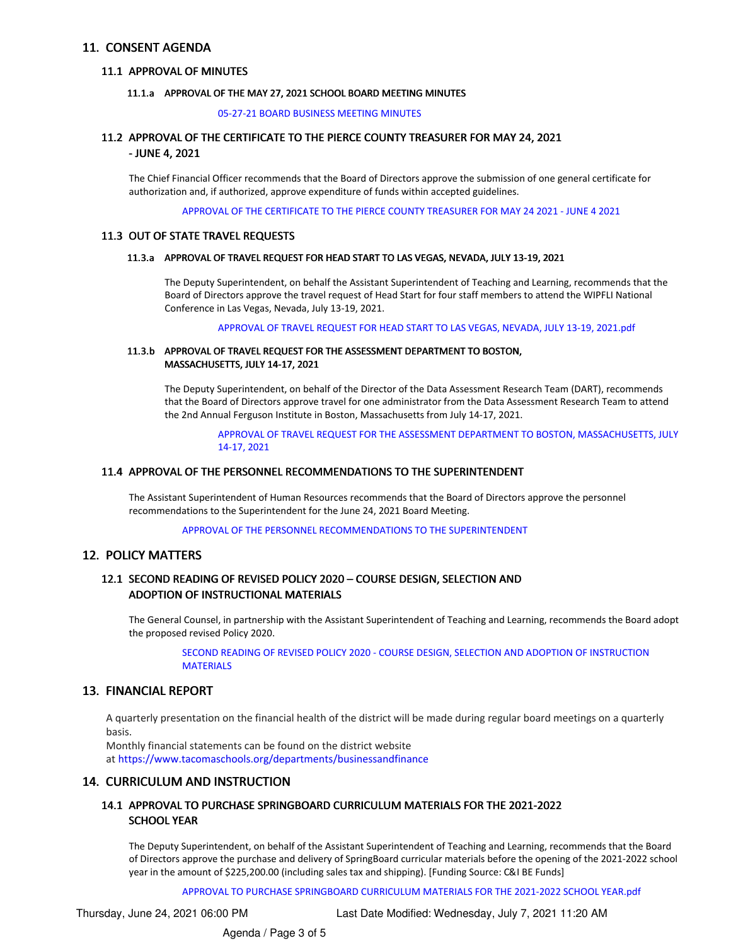#### 11. CONSENT AGENDA

#### 11.1 APPROVAL OF MINUTES

#### 11.1.a APPROVAL OF THE MAY 27, 2021 SCHOOL BOARD MEETING MINUTES

05-27-21 BOARD [BUSINESS](https://app.eduportal.com/documents/view/799322) MEETING MINUTES

# 11.2 APPROVAL OF THE CERTIFICATE TO THE PIERCE COUNTY TREASURER FOR MAY 24, 2021

#### - JUNE 4, 2021

The Chief Financial Officer recommends that the Board of Directors approve the submission of one general certificate for authorization and, if authorized, approve expenditure of funds within accepted guidelines.

APPROVAL OF THE [CERTIFICATE](https://app.eduportal.com/documents/view/797918) TO THE PIERCE COUNTY TREASURER FOR MAY 24 2021 - JUNE 4 2021

#### 11.3 OUT OF STATE TRAVEL REQUESTS

#### 11.3.a APPROVAL OF TRAVEL REQUEST FOR HEAD START TO LAS VEGAS, NEVADA, JULY 13-19, 2021

The Deputy Superintendent, on behalf the Assistant Superintendent of Teaching and Learning, recommends that the Board of Directors approve the travel request of Head Start for four staff members to attend the WIPFLI National Conference in Las Vegas, Nevada, July 13-19, 2021.

[APPROVAL](https://app.eduportal.com/documents/view/799313) OF TRAVEL REQUEST FOR HEAD START TO LAS VEGAS, NEVADA, JULY 13-19, 2021.pdf

#### 11.3.b APPROVAL OF TRAVEL REQUEST FOR THE ASSESSMENT DEPARTMENT TO BOSTON, MASSACHUSETTS, JULY 14-17, 2021

The Deputy Superintendent, on behalf of the Director of the Data Assessment Research Team (DART), recommends that the Board of Directors approve travel for one administrator from the Data Assessment Research Team to attend the 2nd Annual Ferguson Institute in Boston, Massachusetts from July 14-17, 2021.

> APPROVAL OF TRAVEL REQUEST FOR THE ASSESSMENT DEPARTMENT TO BOSTON, [MASSACHUSETTS,](https://app.eduportal.com/documents/view/798015) JULY 14-17, 2021

#### 11.4 APPROVAL OF THE PERSONNEL RECOMMENDATIONS TO THE SUPERINTENDENT

The Assistant Superintendent of Human Resources recommends that the Board of Directors approve the personnel recommendations to the Superintendent for the June 24, 2021 Board Meeting.

APPROVAL OF THE PERSONNEL [RECOMMENDATIONS](https://app.eduportal.com/documents/view/797961) TO THE SUPERINTENDENT

#### 12. POLICY MATTERS

#### 12.1 SECOND READING OF REVISED POLICY 2020 - COURSE DESIGN, SELECTION AND ADOPTION OF INSTRUCTIONAL MATERIALS

The General Counsel, in partnership with the Assistant Superintendent of Teaching and Learning, recommends the Board adopt the proposed revised Policy 2020.

SECOND READING OF REVISED POLICY 2020 - COURSE DESIGN, SELECTION AND ADOPTION OF [INSTRUCTION](https://app.eduportal.com/documents/view/797747) **MATERIALS** 

# 13. FINANCIAL REPORT

A quarterly presentation on the financial health of the district will be made during regular board meetings on a quarterly basis.

Monthly financial statements can be found on the district website at <https://www.tacomaschools.org/departments/businessandfinance>

#### 14. CURRICULUM AND INSTRUCTION

#### 14.1 APPROVAL TO PURCHASE SPRINGBOARD CURRICULUM MATERIALS FOR THE 2021-2022 SCHOOL YEAR

The Deputy Superintendent, on behalf of the Assistant Superintendent of Teaching and Learning, recommends that the Board of Directors approve the purchase and delivery of SpringBoard curricular materials before the opening of the 2021-2022 school year in the amount of \$225,200.00 (including sales tax and shipping). [Funding Source: C&I BE Funds]

APPROVAL TO PURCHASE [SPRINGBOARD](https://app.eduportal.com/documents/view/798017) CURRICULUM MATERIALS FOR THE 2021-2022 SCHOOL YEAR.pdf

Thursday, June 24, 2021 06:00 PM Last Date Modified: Wednesday, July 7, 2021 11:20 AM

Agenda / Page 3 of 5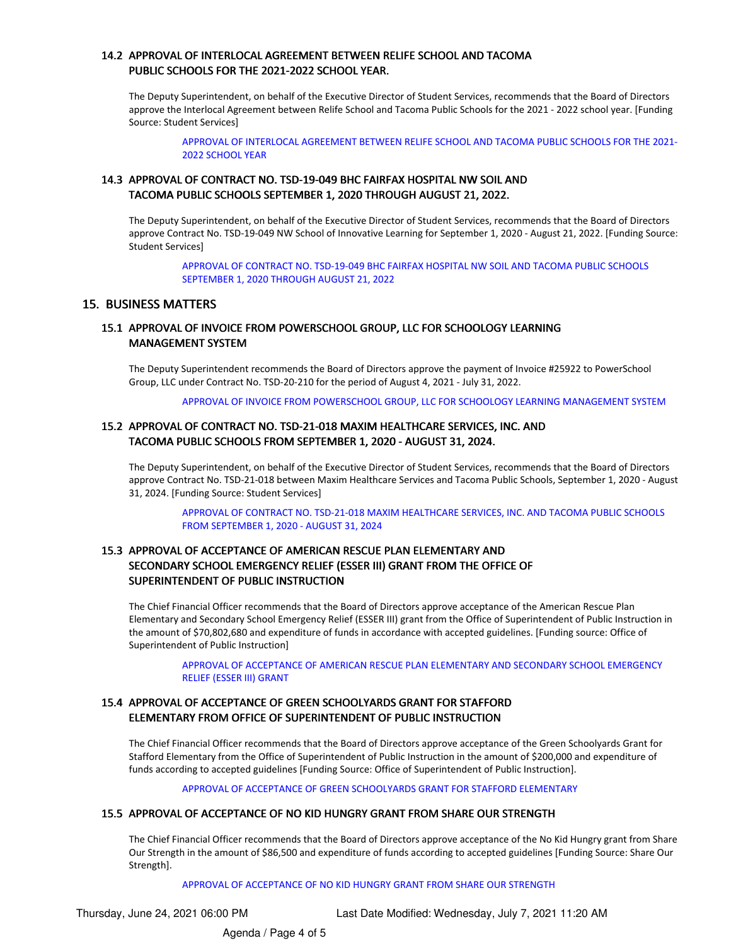## 14.2 APPROVAL OF INTERLOCAL AGREEMENT BETWEEN RELIFE SCHOOL AND TACOMA PUBLIC SCHOOLS FOR THE 2021-2022 SCHOOL YEAR.

The Deputy Superintendent, on behalf of the Executive Director of Student Services, recommends that the Board of Directors approve the Interlocal Agreement between Relife School and Tacoma Public Schools for the 2021 - 2022 school year. [Funding Source: Student Services]

APPROVAL OF INTERLOCAL [AGREEMENT](https://app.eduportal.com/documents/view/798014) BETWEEN RELIFE SCHOOL AND TACOMA PUBLIC SCHOOLS FOR THE 2021- 2022 SCHOOL YEAR

## 14.3 APPROVAL OF CONTRACT NO. TSD-19-049 BHC FAIRFAX HOSPITAL NW SOIL AND TACOMA PUBLIC SCHOOLS SEPTEMBER 1, 2020 THROUGH AUGUST 21, 2022.

The Deputy Superintendent, on behalf of the Executive Director of Student Services, recommends that the Board of Directors approve Contract No. TSD-19-049 NW School of Innovative Learning for September 1, 2020 - August 21, 2022. [Funding Source: Student Services]

APPROVAL OF CONTRACT NO. [TSD-19-049](https://app.eduportal.com/documents/view/798012) BHC FAIRFAX HOSPITAL NW SOIL AND TACOMA PUBLIC SCHOOLS SEPTEMBER 1, 2020 THROUGH AUGUST 21, 2022

#### 15. BUSINESS MATTERS

## 15.1 APPROVAL OF INVOICE FROM POWERSCHOOL GROUP, LLC FOR SCHOOLOGY LEARNING MANAGEMENT SYSTEM

The Deputy Superintendent recommends the Board of Directors approve the payment of Invoice #25922 to PowerSchool Group, LLC under Contract No. TSD-20-210 for the period of August 4, 2021 - July 31, 2022.

APPROVAL OF INVOICE FROM [POWERSCHOOL](https://app.eduportal.com/documents/view/794473) GROUP, LLC FOR SCHOOLOGY LEARNING MANAGEMENT SYSTEM

#### 15.2 APPROVAL OF CONTRACT NO. TSD-21-018 MAXIM HEALTHCARE SERVICES, INC. AND TACOMA PUBLIC SCHOOLS FROM SEPTEMBER 1, 2020 - AUGUST 31, 2024.

The Deputy Superintendent, on behalf of the Executive Director of Student Services, recommends that the Board of Directors approve Contract No. TSD-21-018 between Maxim Healthcare Services and Tacoma Public Schools, September 1, 2020 - August 31, 2024. [Funding Source: Student Services]

APPROVAL OF CONTRACT NO. TSD-21-018 MAXIM [HEALTHCARE](https://app.eduportal.com/documents/view/798013) SERVICES, INC. AND TACOMA PUBLIC SCHOOLS FROM SEPTEMBER 1, 2020 - AUGUST 31, 2024

# 15.3 APPROVAL OF ACCEPTANCE OF AMERICAN RESCUE PLAN ELEMENTARY AND SECONDARY SCHOOL EMERGENCY RELIEF (ESSER III) GRANT FROM THE OFFICE OF SUPERINTENDENT OF PUBLIC INSTRUCTION

The Chief Financial Officer recommends that the Board of Directors approve acceptance of the American Rescue Plan Elementary and Secondary School Emergency Relief (ESSER III) grant from the Office of Superintendent of Public Instruction in the amount of \$70,802,680 and expenditure of funds in accordance with accepted guidelines. [Funding source: Office of Superintendent of Public Instruction]

APPROVAL OF ACCEPTANCE OF AMERICAN RESCUE PLAN [ELEMENTARY](https://app.eduportal.com/documents/view/798679) AND SECONDARY SCHOOL EMERGENCY RELIEF (ESSER III) GRANT

### 15.4 APPROVAL OF ACCEPTANCE OF GREEN SCHOOLYARDS GRANT FOR STAFFORD ELEMENTARY FROM OFFICE OF SUPERINTENDENT OF PUBLIC INSTRUCTION

The Chief Financial Officer recommends that the Board of Directors approve acceptance of the Green Schoolyards Grant for Stafford Elementary from the Office of Superintendent of Public Instruction in the amount of \$200,000 and expenditure of funds according to accepted guidelines [Funding Source: Office of Superintendent of Public Instruction].

APPROVAL OF ACCEPTANCE OF GREEN [SCHOOLYARDS](https://app.eduportal.com/documents/view/798680) GRANT FOR STAFFORD ELEMENTARY

#### 15.5 APPROVAL OF ACCEPTANCE OF NO KID HUNGRY GRANT FROM SHARE OUR STRENGTH

The Chief Financial Officer recommends that the Board of Directors approve acceptance of the No Kid Hungry grant from Share Our Strength in the amount of \$86,500 and expenditure of funds according to accepted guidelines [Funding Source: Share Our Strength].

#### APPROVAL OF [ACCEPTANCE](https://app.eduportal.com/documents/view/798681) OF NO KID HUNGRY GRANT FROM SHARE OUR STRENGTH

Thursday, June 24, 2021 06:00 PM Last Date Modified: Wednesday, July 7, 2021 11:20 AM

Agenda / Page 4 of 5